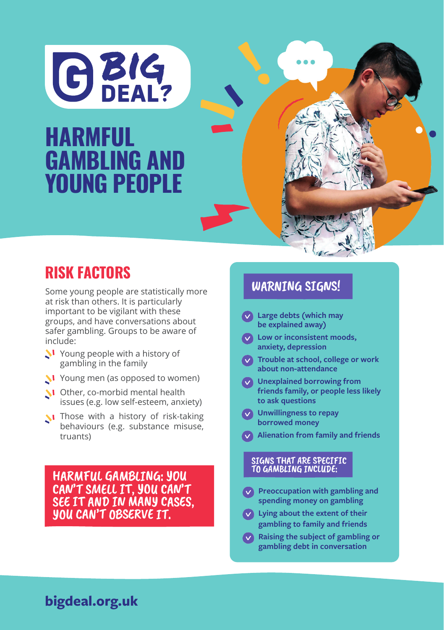

### **PROBLEM GAMBLING AND STREET WAS STREET AWARDED workshops for young people HARMFUL** GAMBLING AND YOUNG PEOPLE

## RISK FACTORS

Some young people are statistically more at risk than others. It is particularly important to be vigilant with these groups, and have conversations about safer gambling. Groups to be aware of include:

- N Young people with a history of gambling in the family
- Young men (as opposed to women)
- Other, co-morbid mental health issues (e.g. low self-esteem, anxiety)
- **N** Those with a history of risk-taking behaviours (e.g. substance misuse, truants)

HARMFUL GAMBLING: YOU CAN'T SMELL IT, YOU CAN'T SEE IT AND IN MANY CASES, YOU CAN'T OBSERVE IT.

#### WARNING SIGNS!

- **Large debts (which may be explained away)**
- **Low or inconsistent moods, anxiety, depression**
- **Trouble at school, college or work about non-attendance**
- **Unexplained borrowing from friends family, or people less likely to ask questions**
- **Unwillingness to repay borrowed money**
- **Alienation from family and friends**

# SIGNS THAT ARE SPECIFIC<br>TO GAMBLING INCLUDE:

- **Preoccupation with gambling and spending money on gambling**
- **Lying about the extent of their gambling to family and friends**
- **Raising the subject of gambling or gambling debt in conversation**

#### **bigdeal.org.uk**